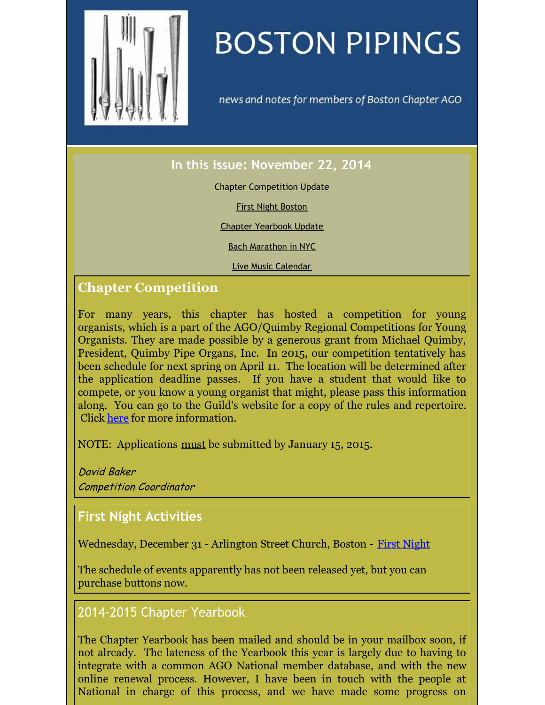<span id="page-0-0"></span>

# **BOSTON PIPINGS**

news and notes for members of Boston Chapter AGO

## **In this issue: November 22, 2014**

#### Chapter [Competition](#page-0-0) Update

First Night [Boston](#page-0-0)

Chapter [Yearbook](#page-0-0) Update

Bach [Marathon](#page-0-0) in NYC

Live Music [Calendar](#page-0-0)

### **Chapter Competition**

For many years, this chapter has hosted a competition for young organists, which is a part of the AGO/Quimby Regional Competitions for Young Organists. They are made possible by a generous grant from Michael Quimby, President, Quimby Pipe Organs, Inc. In 2015, our competition tentatively has been schedule for next spring on April 11. The location will be determined after the application deadline passes. If you have a student that would like to compete, or you know a young organist that might, please pass this information along. You can go to the Guild's website for a copy of the rules and repertoire. Click [here](http://www.agohq.org/performance-competitions/rcyo/) for more information.

NOTE: Applications must be submitted by January 15, 2015.

David Baker Competition Coordinator

#### **First Night Activities**

Wednesday, December 31 - Arlington Street Church, Boston - First [Night](http://www.firstnightboston.org)

The schedule of events apparently has not been released yet, but you can purchase buttons now.

#### 2014-2015 Chapter Yearbook

The Chapter Yearbook has been mailed and should be in your mailbox soon, if not already. The lateness of the Yearbook this year is largely due to having to integrate with a common AGO National member database, and with the new online renewal process. However, I have been in touch with the people at National in charge of this process, and we have made some progress on